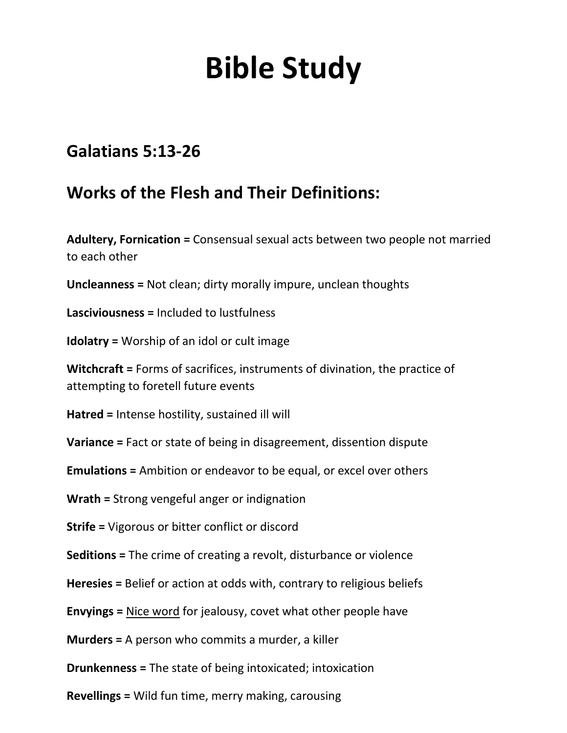# **Bible Study**

### **Galatians 5:13-26**

### **Works of the Flesh and Their Definitions:**

**Adultery, Fornication =** Consensual sexual acts between two people not married to each other

**Uncleanness =** Not clean; dirty morally impure, unclean thoughts

**Lasciviousness =** Included to lustfulness

**Idolatry =** Worship of an idol or cult image

**Witchcraft =** Forms of sacrifices, instruments of divination, the practice of attempting to foretell future events

**Hatred =** Intense hostility, sustained ill will

**Variance =** Fact or state of being in disagreement, dissention dispute

**Emulations =** Ambition or endeavor to be equal, or excel over others

**Wrath =** Strong vengeful anger or indignation

**Strife =** Vigorous or bitter conflict or discord

**Seditions =** The crime of creating a revolt, disturbance or violence

**Heresies =** Belief or action at odds with, contrary to religious beliefs

**Envyings =** Nice word for jealousy, covet what other people have

**Murders =** A person who commits a murder, a killer

**Drunkenness =** The state of being intoxicated; intoxication

**Revellings =** Wild fun time, merry making, carousing